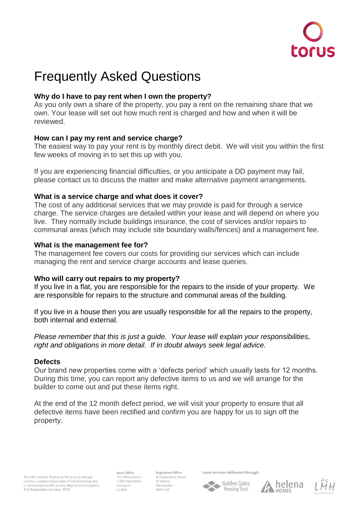

# Frequently Asked Questions

# **Why do I have to pay rent when I own the property?**

As you only own a share of the property, you pay a rent on the remaining share that we own. Your lease will set out how much rent is charged and how and when it will be reviewed.

## **How can I pay my rent and service charge?**

The easiest way to pay your rent is by monthly direct debit. We will visit you within the first few weeks of moving in to set this up with you.

If you are experiencing financial difficulties, or you anticipate a DD payment may fail, please contact us to discuss the matter and make alternative payment arrangements.

## **What is a service charge and what does it cover?**

The cost of any additional services that we may provide is paid for through a service charge. The service charges are detailed within your lease and will depend on where you live. They normally include buildings insurance, the cost of services and/or repairs to communal areas (which may include site boundary walls/fences) and a management fee.

## **What is the management fee for?**

The management fee covers our costs for providing our services which can include managing the rent and service charge accounts and lease queries.

# **Who will carry out repairs to my property?**

If you live in a flat, you are responsible for the repairs to the inside of your property. We are responsible for repairs to the structure and communal areas of the building.

If you live in a house then you are usually responsible for all the repairs to the property, both internal and external.

*Please remember that this is just a guide. Your lease will explain your responsibilities, right and obligations in more detail. If in doubt always seek legal advice.*

## **Defects**

Our brand new properties come with a 'defects period' which usually lasts for 12 months. During this time, you can report any defective items to us and we will arrange for the builder to come out and put these items right.

At the end of the 12 month defect period, we will visit your property to ensure that all defective items have been rectified and confirm you are happy for us to sign off the property.

Torus62 Limited, Trading as Torus, is an exempt charity, a registered provider of social housing and<br>a community benefit society. Registered in England. FCA Registration Number: 7973

**Head Office** The Observatory 1 Old Haymarket **L1 6RA** 

Registered Office 4 Corporation Street St Helens Merseyside WA9 1LD

Local services delivered through:





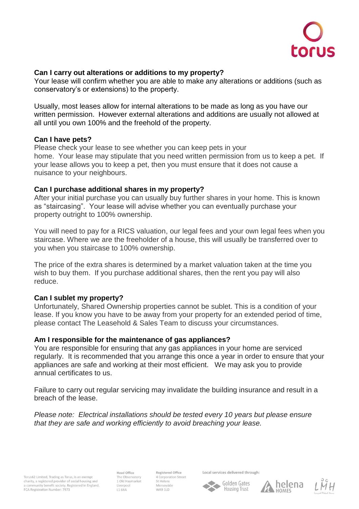

## **Can I carry out alterations or additions to my property?**

Your lease will confirm whether you are able to make any alterations or additions (such as conservatory's or extensions) to the property.

Usually, most leases allow for internal alterations to be made as long as you have our written permission. However external alterations and additions are usually not allowed at all until you own 100% and the freehold of the property.

#### **Can I have pets?**

Please check your lease to see whether you can keep pets in your home. Your lease may stipulate that you need written permission from us to keep a pet. If your lease allows you to keep a pet, then you must ensure that it does not cause a nuisance to your neighbours.

#### **Can I purchase additional shares in my property?**

After your initial purchase you can usually buy further shares in your home. This is known as "staircasing". Your lease will advise whether you can eventually purchase your property outright to 100% ownership.

You will need to pay for a RICS valuation, our legal fees and your own legal fees when you staircase. Where we are the freeholder of a house, this will usually be transferred over to you when you staircase to 100% ownership.

The price of the extra shares is determined by a market valuation taken at the time you wish to buy them. If you purchase additional shares, then the rent you pay will also reduce.

## **Can I sublet my property?**

Unfortunately, Shared Ownership properties cannot be sublet. This is a condition of your lease. If you know you have to be away from your property for an extended period of time, please contact The Leasehold & Sales Team to discuss your circumstances.

#### **Am I responsible for the maintenance of gas appliances?**

You are responsible for ensuring that any gas appliances in your home are serviced regularly. It is recommended that you arrange this once a year in order to ensure that your appliances are safe and working at their most efficient. We may ask you to provide annual certificates to us.

Failure to carry out regular servicing may invalidate the building insurance and result in a breach of the lease.

*Please note: Electrical installations should be tested every 10 years but please ensure that they are safe and working efficiently to avoid breaching your lease.*

Torus62 Limited, Trading as Torus, is an exempt charity, a registered provider of social housing and<br>a community benefit society. Registered in England. FCA Registration Number: 7973

**Head Office** The Observatory 1 Old Haymarket **L1 6RA** 

Registered Office 4 Corporation Street St Helens Merseyside **WA9 1LD** 

Local services delivered through: